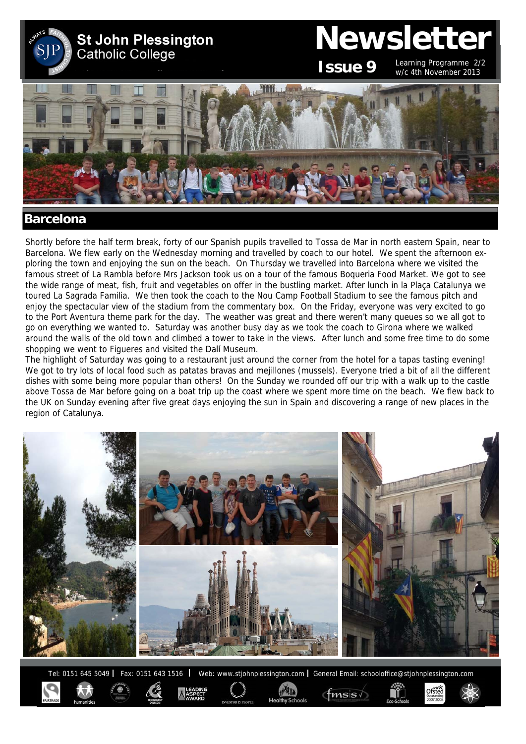

#### Shortly before the half term break, forty of our Spanish pupils travelled to Tossa de Mar in north eastern Spain, near to Barcelona. We flew early on the Wednesday morning and travelled by coach to our hotel. We spent the afternoon exploring the town and enjoying the sun on the beach. On Thursday we travelled into Barcelona where we visited the famous street of La Rambla before Mrs Jackson took us on a tour of the famous Boqueria Food Market. We got to see the wide range of meat, fish, fruit and vegetables on offer in the bustling market. After lunch in la Plaça Catalunya we toured La Sagrada Familia. We then took the coach to the Nou Camp Football Stadium to see the famous pitch and enjoy the spectacular view of the stadium from the commentary box. On the Friday, everyone was very excited to go to the Port Aventura theme park for the day. The weather was great and there weren't many queues so we all got to go on everything we wanted to. Saturday was another busy day as we took the coach to Girona where we walked around the walls of the old town and climbed a tower to take in the views. After lunch and some free time to do some shopping we went to Figueres and visited the Dalí Museum.

The highlight of Saturday was going to a restaurant just around the corner from the hotel for a tapas tasting evening! We got to try lots of local food such as patatas bravas and mejillones (mussels). Everyone tried a bit of all the different dishes with some being more popular than others! On the Sunday we rounded off our trip with a walk up to the castle above Tossa de Mar before going on a boat trip up the coast where we spent more time on the beach. We flew back to the UK on Sunday evening after five great days enjoying the sun in Spain and discovering a range of new places in the region of Catalunya.



Tel: 0151 645 5049 | Fax: 0151 643 1516 | Web: www.stjohnplessington.com | General Email: schooloffice@stjohnplessington.com

Ofsted

 $\mathsf{fmsis} \land$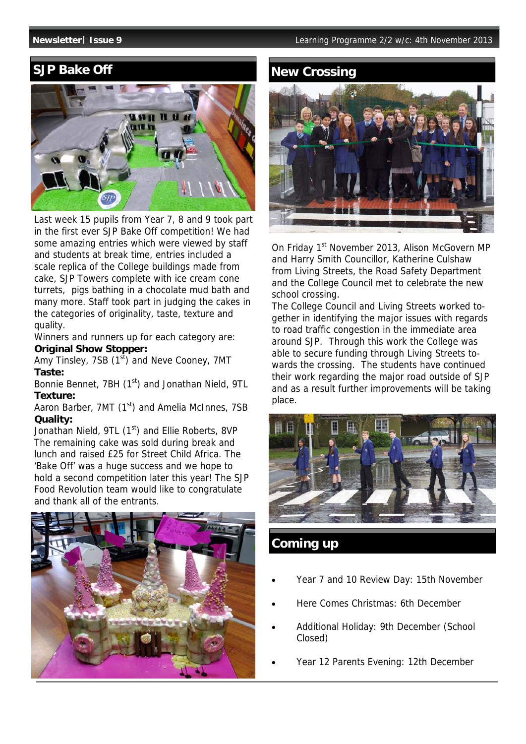# **SJP Bake Off**



Last week 15 pupils from Year 7, 8 and 9 took part in the first ever SJP Bake Off competition! We had some amazing entries which were viewed by staff and students at break time, entries included a scale replica of the College buildings made from cake, SJP Towers complete with ice cream cone turrets, pigs bathing in a chocolate mud bath and many more. Staff took part in judging the cakes in the categories of originality, taste, texture and quality.

Winners and runners up for each category are: **Original Show Stopper:** 

Amy Tinsley, 7SB  $(1<sup>st</sup>)$  and Neve Cooney, 7MT **Taste:** 

Bonnie Bennet, 7BH (1<sup>st</sup>) and Jonathan Nield, 9TL **Texture:** 

Aaron Barber, 7MT (1<sup>st</sup>) and Amelia McInnes, 7SB **Quality:** 

Jonathan Nield, 9TL (1<sup>st</sup>) and Ellie Roberts, 8VP The remaining cake was sold during break and lunch and raised £25 for Street Child Africa. The 'Bake Off' was a huge success and we hope to hold a second competition later this year! The SJP Food Revolution team would like to congratulate and thank all of the entrants.



# **New Crossing**



On Friday 1<sup>st</sup> November 2013, Alison McGovern MP and Harry Smith Councillor, Katherine Culshaw from Living Streets, the Road Safety Department and the College Council met to celebrate the new school crossing.

The College Council and Living Streets worked together in identifying the major issues with regards to road traffic congestion in the immediate area around SJP. Through this work the College was able to secure funding through Living Streets towards the crossing. The students have continued their work regarding the major road outside of SJP and as a result further improvements will be taking place.



## **Coming up**

- Year 7 and 10 Review Day: 15th November
- Here Comes Christmas: 6th December
- Additional Holiday: 9th December (School Closed)
- Year 12 Parents Evening: 12th December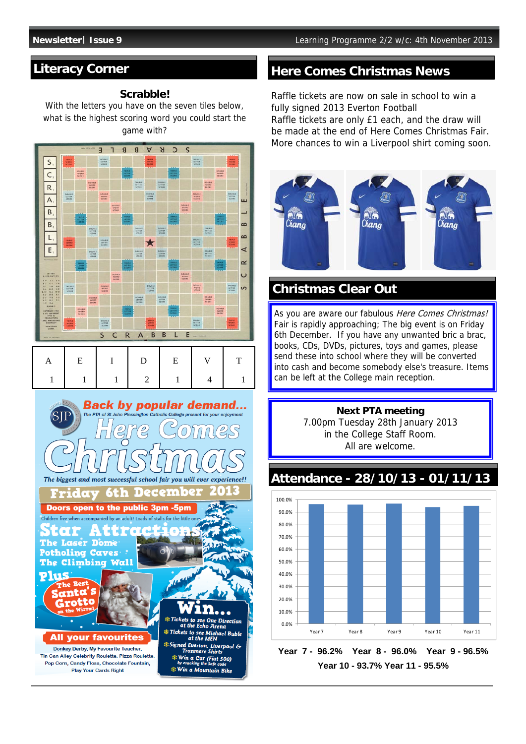## **Literacy Corner**

#### **Scrabble!**

With the letters you have on the seven tiles below, what is the highest scoring word you could start the game with?



### **Here Comes Christmas News**

Raffle tickets are now on sale in school to win a fully signed 2013 Everton Football Raffle tickets are only £1 each, and the draw will be made at the end of Here Comes Christmas Fair. More chances to win a Liverpool shirt coming soon.



# **Christmas Clear Out**

As you are aware our fabulous Here Comes Christmas! Fair is rapidly approaching; The big event is on Friday 6th December. If you have any unwanted bric a brac, books, CDs, DVDs, pictures, toys and games, please send these into school where they will be converted into cash and become somebody else's treasure. Items can be left at the College main reception.



# **Attendance - 28/10/13 - 01/11/13**



**Year 7 - 96.2% Year 8 - 96.0% Year 9 - 96.5% Year 10 - 93.7% Year 11 - 95.5%**